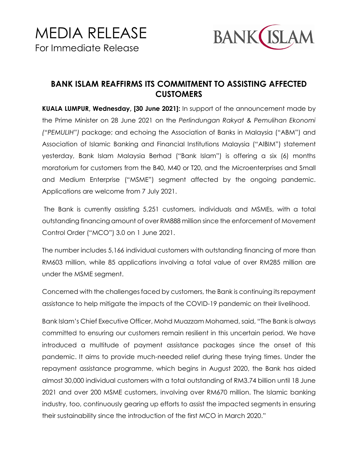

## **BANK ISLAM REAFFIRMS ITS COMMITMENT TO ASSISTING AFFECTED CUSTOMERS**

**KUALA LUMPUR, Wednesday, [30 June 2021]:** In support of the announcement made by the Prime Minister on 28 June 2021 on the *Perlindungan Rakyat & Pemulihan Ekonomi ("PEMULIH")* package; and echoing the Association of Banks in Malaysia ("ABM") and Association of Islamic Banking and Financial Institutions Malaysia ("AIBIM") statement yesterday, Bank Islam Malaysia Berhad ("Bank Islam") is offering a six (6) months moratorium for customers from the B40, M40 or T20, and the Microenterprises and Small and Medium Enterprise ("MSME") segment affected by the ongoing pandemic. Applications are welcome from 7 July 2021.

The Bank is currently assisting 5,251 customers, individuals and MSMEs, with a total outstanding financing amount of over RM888 million since the enforcement of Movement Control Order ("MCO") 3.0 on 1 June 2021.

The number includes 5,166 individual customers with outstanding financing of more than RM603 million, while 85 applications involving a total value of over RM285 million are under the MSME segment.

Concerned with the challenges faced by customers, the Bank is continuing its repayment assistance to help mitigate the impacts of the COVID-19 pandemic on their livelihood.

Bank Islam's Chief Executive Officer, Mohd Muazzam Mohamed, said, "The Bank is always committed to ensuring our customers remain resilient in this uncertain period. We have introduced a multitude of payment assistance packages since the onset of this pandemic. It aims to provide much-needed relief during these trying times. Under the repayment assistance programme, which begins in August 2020, the Bank has aided almost 30,000 individual customers with a total outstanding of RM3.74 billion until 18 June 2021 and over 200 MSME customers, involving over RM670 million. The Islamic banking industry, too, continuously gearing up efforts to assist the impacted segments in ensuring their sustainability since the introduction of the first MCO in March 2020."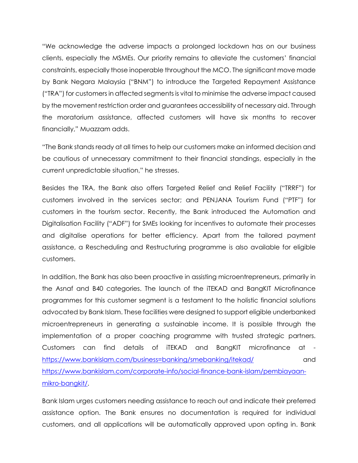"We acknowledge the adverse impacts a prolonged lockdown has on our business clients, especially the MSMEs. Our priority remains to alleviate the customers' financial constraints, especially those inoperable throughout the MCO. The significant move made by Bank Negara Malaysia ("BNM") to introduce the Targeted Repayment Assistance ("TRA") for customers in affected segments is vital to minimise the adverse impact caused by the movement restriction order and guarantees accessibility of necessary aid. Through the moratorium assistance, affected customers will have six months to recover financially," Muazzam adds.

"The Bank stands ready at all times to help our customers make an informed decision and be cautious of unnecessary commitment to their financial standings, especially in the current unpredictable situation," he stresses.

Besides the TRA, the Bank also offers Targeted Relief and Relief Facility ("TRRF") for customers involved in the services sector; and PENJANA Tourism Fund ("PTF") for customers in the tourism sector. Recently, the Bank introduced the Automation and Digitalisation Facility ("ADF") for SMEs looking for incentives to automate their processes and digitalise operations for better efficiency. Apart from the tailored payment assistance, a Rescheduling and Restructuring programme is also available for eligible customers.

In addition, the Bank has also been proactive in assisting microentrepreneurs, primarily in the Asnaf and B40 categories. The launch of the iTEKAD and BangKIT Microfinance programmes for this customer segment is a testament to the holistic financial solutions advocated by Bank Islam. These facilities were designed to support eligible underbanked microentrepreneurs in generating a sustainable income. It is possible through the implementation of a proper coaching programme with trusted strategic partners. Customers can find details of iTEKAD and BangKIT microfinance at <https://www.bankislam.com/business=banking/smebanking/itekad/> and [https://www.bankislam.com/corporate-info/social-finance-bank-islam/pembiayaan](https://www.bankislam.com/corporate-info/social-finance-bank-islam/pembiayaan-mikro-bangkit/)[mikro-bangkit/.](https://www.bankislam.com/corporate-info/social-finance-bank-islam/pembiayaan-mikro-bangkit/)

Bank Islam urges customers needing assistance to reach out and indicate their preferred assistance option. The Bank ensures no documentation is required for individual customers, and all applications will be automatically approved upon opting in. Bank